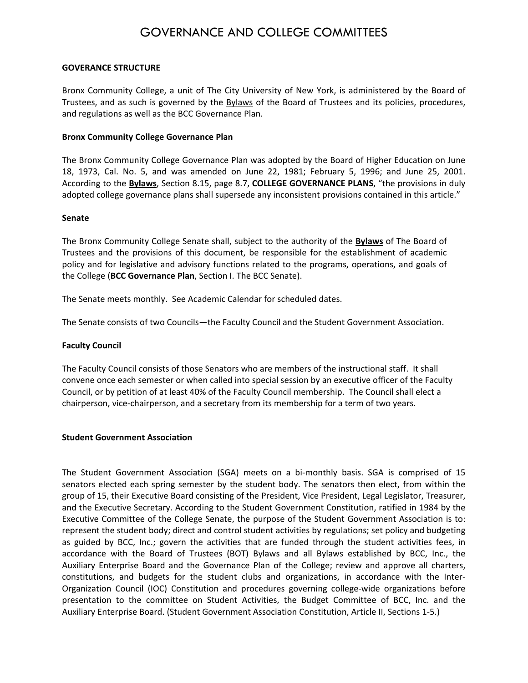# GOVERNANCE AND COLLEGE COMMITTEES

#### **GOVERANCE STRUCTURE**

Bronx Community College, a unit of The City University of New York, is administered by the Board of Trustees, and as such is governed by the **Bylaws** of the Board of Trustees and its policies, procedures, and regulations as well as the BCC Governance Plan.

# **Bronx Community College Governance Plan**

The Bronx Community College Governance Plan was adopted by the Board of Higher Education on June 18, 1973, Cal. No. 5, and was amended on June 22, 1981; February 5, 1996; and June 25, 2001. According to the **Bylaws**, Section 8.15, page 8.7, **COLLEGE GOVERNANCE PLANS**, "the provisions in duly adopted college governance plans shall supersede any inconsistent provisions contained in this article."

# **Senate**

The Bronx Community College Senate shall, subject to the authority of the **Bylaws** of The Board of Trustees and the provisions of this document, be responsible for the establishment of academic policy and for legislative and advisory functions related to the programs, operations, and goals of the College (**BCC Governance Plan**, Section I. The BCC Senate).

The Senate meets monthly. See Academic Calendar for scheduled dates.

The Senate consists of two Councils—the Faculty Council and the Student Government Association.

#### **Faculty Council**

The Faculty Council consists of those Senators who are members of the instructional staff. It shall convene once each semester or when called into special session by an executive officer of the Faculty Council, or by petition of at least 40% of the Faculty Council membership. The Council shall elect a chairperson, vice‐chairperson, and a secretary from its membership for a term of two years.

#### **Student Government Association**

The Student Government Association (SGA) meets on a bi-monthly basis. SGA is comprised of 15 senators elected each spring semester by the student body. The senators then elect, from within the group of 15, their Executive Board consisting of the President, Vice President, Legal Legislator, Treasurer, and the Executive Secretary. According to the Student Government Constitution, ratified in 1984 by the Executive Committee of the College Senate, the purpose of the Student Government Association is to: represent the student body; direct and control student activities by regulations; set policy and budgeting as guided by BCC, Inc.; govern the activities that are funded through the student activities fees, in accordance with the Board of Trustees (BOT) Bylaws and all Bylaws established by BCC, Inc., the Auxiliary Enterprise Board and the Governance Plan of the College; review and approve all charters, constitutions, and budgets for the student clubs and organizations, in accordance with the Inter‐ Organization Council (IOC) Constitution and procedures governing college‐wide organizations before presentation to the committee on Student Activities, the Budget Committee of BCC, Inc. and the Auxiliary Enterprise Board. (Student Government Association Constitution, Article II, Sections 1‐5.)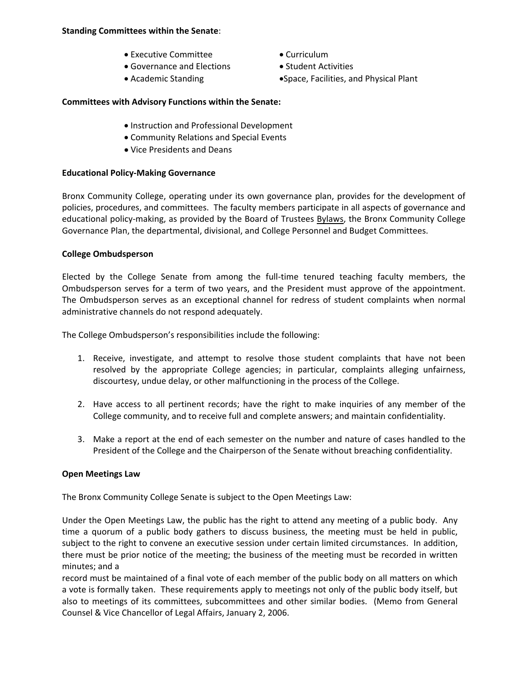#### **Standing Committees within the Senate**:

- Executive Committee Curriculum
- Governance and Elections Student Activities
- 
- 
- 
- Academic Standing  **Space, Facilities, and Physical Plant**

# **Committees with Advisory Functions within the Senate:**

- Instruction and Professional Development
- Community Relations and Special Events
- Vice Presidents and Deans

# **Educational Policy‐Making Governance**

Bronx Community College, operating under its own governance plan, provides for the development of policies, procedures, and committees. The faculty members participate in all aspects of governance and educational policy-making, as provided by the Board of Trustees Bylaws, the Bronx Community College Governance Plan, the departmental, divisional, and College Personnel and Budget Committees.

# **College Ombudsperson**

Elected by the College Senate from among the full‐time tenured teaching faculty members, the Ombudsperson serves for a term of two years, and the President must approve of the appointment. The Ombudsperson serves as an exceptional channel for redress of student complaints when normal administrative channels do not respond adequately.

The College Ombudsperson's responsibilities include the following:

- 1. Receive, investigate, and attempt to resolve those student complaints that have not been resolved by the appropriate College agencies; in particular, complaints alleging unfairness, discourtesy, undue delay, or other malfunctioning in the process of the College.
- 2. Have access to all pertinent records; have the right to make inquiries of any member of the College community, and to receive full and complete answers; and maintain confidentiality.
- 3. Make a report at the end of each semester on the number and nature of cases handled to the President of the College and the Chairperson of the Senate without breaching confidentiality.

# **Open Meetings Law**

The Bronx Community College Senate is subject to the Open Meetings Law:

Under the Open Meetings Law, the public has the right to attend any meeting of a public body. Any time a quorum of a public body gathers to discuss business, the meeting must be held in public, subject to the right to convene an executive session under certain limited circumstances. In addition, there must be prior notice of the meeting; the business of the meeting must be recorded in written minutes; and a

record must be maintained of a final vote of each member of the public body on all matters on which a vote is formally taken. These requirements apply to meetings not only of the public body itself, but also to meetings of its committees, subcommittees and other similar bodies. (Memo from General Counsel & Vice Chancellor of Legal Affairs, January 2, 2006.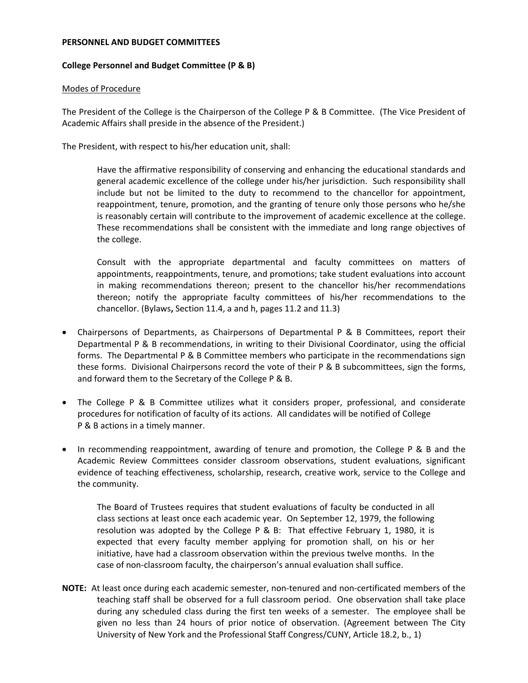#### **PERSONNEL AND BUDGET COMMITTEES**

# **College Personnel and Budget Committee (P & B)**

#### Modes of Procedure

The President of the College is the Chairperson of the College P & B Committee. (The Vice President of Academic Affairs shall preside in the absence of the President.)

The President, with respect to his/her education unit, shall:

Have the affirmative responsibility of conserving and enhancing the educational standards and general academic excellence of the college under his/her jurisdiction. Such responsibility shall include but not be limited to the duty to recommend to the chancellor for appointment, reappointment, tenure, promotion, and the granting of tenure only those persons who he/she is reasonably certain will contribute to the improvement of academic excellence at the college. These recommendations shall be consistent with the immediate and long range objectives of the college.

Consult with the appropriate departmental and faculty committees on matters of appointments, reappointments, tenure, and promotions; take student evaluations into account in making recommendations thereon; present to the chancellor his/her recommendations thereon; notify the appropriate faculty committees of his/her recommendations to the chancellor. (Bylaws**,** Section 11.4, a and h, pages 11.2 and 11.3)

- Chairpersons of Departments, as Chairpersons of Departmental P & B Committees, report their Departmental P & B recommendations, in writing to their Divisional Coordinator, using the official forms. The Departmental P & B Committee members who participate in the recommendations sign these forms. Divisional Chairpersons record the vote of their P & B subcommittees, sign the forms, and forward them to the Secretary of the College P & B.
- The College P & B Committee utilizes what it considers proper, professional, and considerate procedures for notification of faculty of its actions. All candidates will be notified of College P & B actions in a timely manner.
- In recommending reappointment, awarding of tenure and promotion, the College P & B and the Academic Review Committees consider classroom observations, student evaluations, significant evidence of teaching effectiveness, scholarship, research, creative work, service to the College and the community.

The Board of Trustees requires that student evaluations of faculty be conducted in all class sections at least once each academic year. On September 12, 1979, the following resolution was adopted by the College P & B: That effective February 1, 1980, it is expected that every faculty member applying for promotion shall, on his or her initiative, have had a classroom observation within the previous twelve months. In the case of non-classroom faculty, the chairperson's annual evaluation shall suffice.

**NOTE:** At least once during each academic semester, non-tenured and non-certificated members of the teaching staff shall be observed for a full classroom period. One observation shall take place during any scheduled class during the first ten weeks of a semester. The employee shall be given no less than 24 hours of prior notice of observation. (Agreement between The City University of New York and the Professional Staff Congress/CUNY, Article 18.2, b., 1)